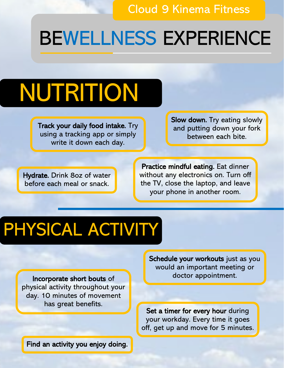## BEWELLNESS EXPERIENCE

# NUTRITION

Track your daily food intake. Try using a tracking app or simply write it down each day.

Slow down. Try eating slowly and putting down your fork between each bite.

Hydrate. Drink 8oz of water before each meal or snack.

Practice mindful eating. Eat dinner without any electronics on. Turn off the TV, close the laptop, and leave your phone in another room.

#### PHYSICAL ACTIVITY

Incorporate short bouts of physical activity throughout your day. 10 minutes of movement has great benefits.

Schedule your workouts just as you would an important meeting or doctor appointment.

Set a timer for every hour during your workday. Every time it goes off, get up and move for 5 minutes.

Find an activity you enjoy doing.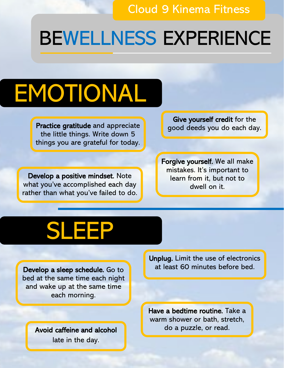## BEWELLNESS EXPERIENCE

# EMOTIONAL

Practice gratitude and appreciate subsequently good deeds you do each day. the little things. Write down 5 things you are grateful for today.

Develop a positive mindset. Note what you've accomplished each day rather than what you've failed to do. Give yourself credit for the

Forgive yourself. We all make mistakes. It's important to learn from it, but not to dwell on it.

## SLEEP

Develop a sleep schedule. Go to bed at the same time each night and wake up at the same time each morning.

> Avoid caffeine and alcohol late in the day.

Unplug. Limit the use of electronics at least 60 minutes before bed.

Have a bedtime routine. Take a warm shower or bath, stretch, do a puzzle, or read.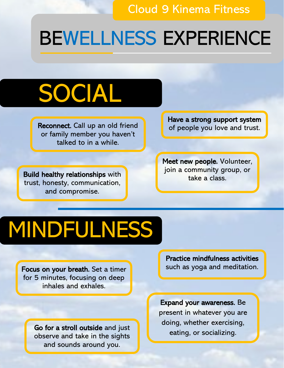#### BEWELLNESS EXPERIENCE

## SOCIAL

**Reconnect.** Call up an old friend  $\begin{bmatrix} 1 & 1 \\ 0 & 1 \end{bmatrix}$  of people you love and trust. or family member you haven't talked to in a while.

Have a strong support system

Build healthy relationships with **the community of the analysis** trust, honesty, communication, and compromise.

Meet new people. Volunteer, join a community group, or

## MINDFULNESS

Focus on your breath. Set a timer for 5 minutes, focusing on deep inhales and exhales.

> Go for a stroll outside and just observe and take in the sights and sounds around you.

Practice mindfulness activities such as yoga and meditation.

Expand your awareness. Be present in whatever you are doing, whether exercising, eating, or socializing.